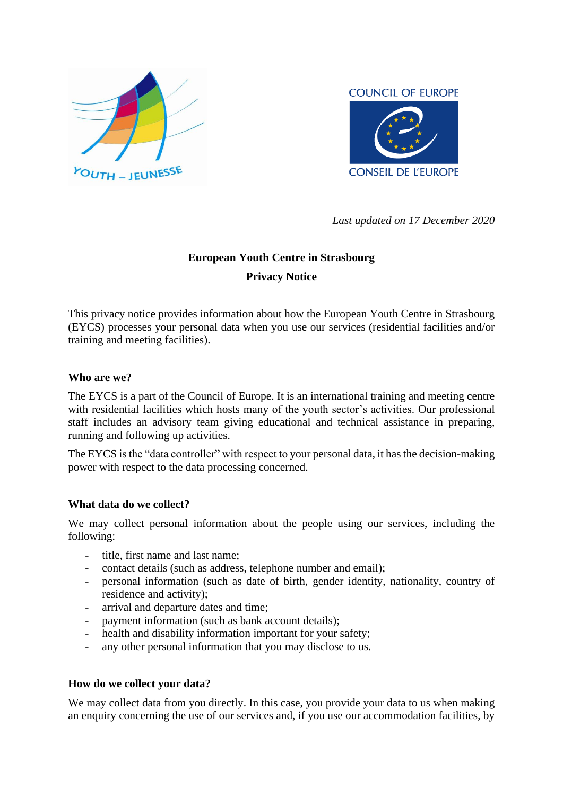



*Last updated on 17 December 2020*

# **European Youth Centre in Strasbourg Privacy Notice**

This privacy notice provides information about how the European Youth Centre in Strasbourg (EYCS) processes your personal data when you use our services (residential facilities and/or training and meeting facilities).

### **Who are we?**

The EYCS is a part of the Council of Europe. It is an international training and meeting centre with residential facilities which hosts many of the youth sector's activities. Our professional staff includes an advisory team giving educational and technical assistance in preparing, running and following up activities.

The EYCS is the "data controller" with respect to your personal data, it has the decision-making power with respect to the data processing concerned.

#### **What data do we collect?**

We may collect personal information about the people using our services, including the following:

- title, first name and last name;
- contact details (such as address, telephone number and email);
- personal information (such as date of birth, gender identity, nationality, country of residence and activity);
- arrival and departure dates and time;
- payment information (such as bank account details);
- health and disability information important for your safety;
- any other personal information that you may disclose to us.

#### **How do we collect your data?**

We may collect data from you directly. In this case, you provide your data to us when making an enquiry concerning the use of our services and, if you use our accommodation facilities, by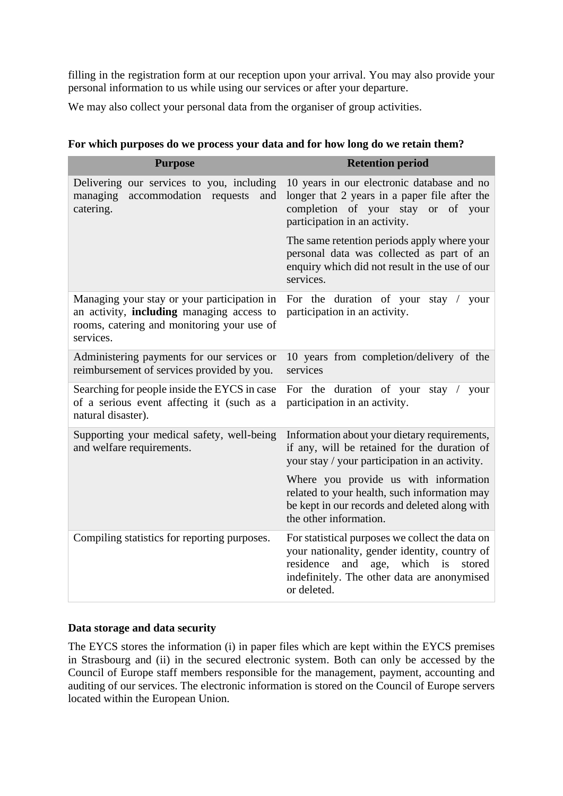filling in the registration form at our reception upon your arrival. You may also provide your personal information to us while using our services or after your departure.

We may also collect your personal data from the organiser of group activities.

| <b>Purpose</b>                                                                                                                                      | <b>Retention period</b>                                                                                                                                                                                    |  |  |
|-----------------------------------------------------------------------------------------------------------------------------------------------------|------------------------------------------------------------------------------------------------------------------------------------------------------------------------------------------------------------|--|--|
| Delivering our services to you, including<br>managing<br>accommodation requests<br>and<br>catering.                                                 | 10 years in our electronic database and no<br>longer that 2 years in a paper file after the<br>completion of your stay or of your<br>participation in an activity.                                         |  |  |
|                                                                                                                                                     | The same retention periods apply where your<br>personal data was collected as part of an<br>enquiry which did not result in the use of our<br>services.                                                    |  |  |
| Managing your stay or your participation in<br>an activity, including managing access to<br>rooms, catering and monitoring your use of<br>services. | For the duration of your<br>stay<br>your<br>$\sqrt{2}$<br>participation in an activity.                                                                                                                    |  |  |
| Administering payments for our services or<br>reimbursement of services provided by you.                                                            | 10 years from completion/delivery of the<br>services                                                                                                                                                       |  |  |
| Searching for people inside the EYCS in case<br>of a serious event affecting it (such as a<br>natural disaster).                                    | For the duration of your<br>stay $/$<br>your<br>participation in an activity.                                                                                                                              |  |  |
| Supporting your medical safety, well-being<br>and welfare requirements.                                                                             | Information about your dietary requirements,<br>if any, will be retained for the duration of<br>your stay / your participation in an activity.                                                             |  |  |
|                                                                                                                                                     | Where you provide us with information<br>related to your health, such information may<br>be kept in our records and deleted along with<br>the other information.                                           |  |  |
| Compiling statistics for reporting purposes.                                                                                                        | For statistical purposes we collect the data on<br>your nationality, gender identity, country of<br>and age, which is<br>residence<br>stored<br>indefinitely. The other data are anonymised<br>or deleted. |  |  |

|  |  | For which purposes do we process your data and for how long do we retain them? |
|--|--|--------------------------------------------------------------------------------|
|  |  |                                                                                |

#### **Data storage and data security**

The EYCS stores the information (i) in paper files which are kept within the EYCS premises in Strasbourg and (ii) in the secured electronic system. Both can only be accessed by the Council of Europe staff members responsible for the management, payment, accounting and auditing of our services. The electronic information is stored on the Council of Europe servers located within the European Union.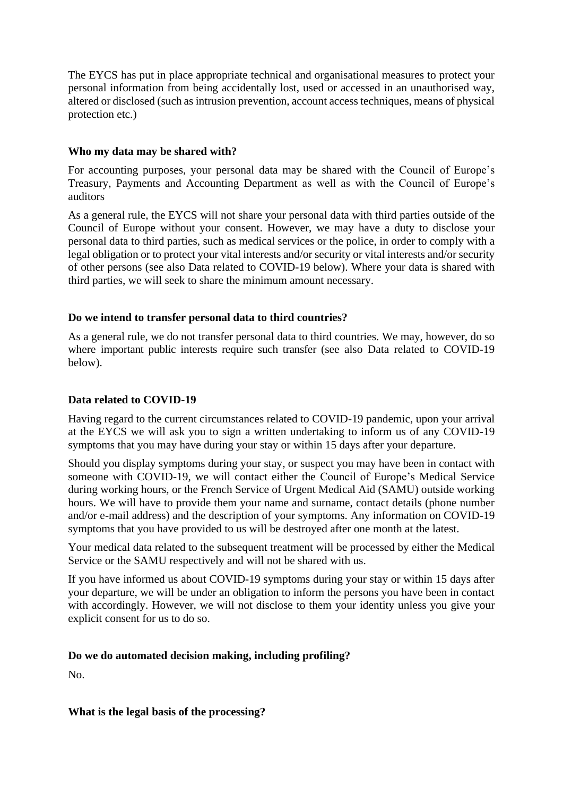The EYCS has put in place appropriate technical and organisational measures to protect your personal information from being accidentally lost, used or accessed in an unauthorised way, altered or disclosed (such as intrusion prevention, account access techniques, means of physical protection etc.)

### **Who my data may be shared with?**

For accounting purposes, your personal data may be shared with the Council of Europe's Treasury, Payments and Accounting Department as well as with the Council of Europe's auditors

As a general rule, the EYCS will not share your personal data with third parties outside of the Council of Europe without your consent. However, we may have a duty to disclose your personal data to third parties, such as medical services or the police, in order to comply with a legal obligation or to protect your vital interests and/or security or vital interests and/or security of other persons (see also Data related to COVID-19 below). Where your data is shared with third parties, we will seek to share the minimum amount necessary.

## **Do we intend to transfer personal data to third countries?**

As a general rule, we do not transfer personal data to third countries. We may, however, do so where important public interests require such transfer (see also Data related to COVID-19 below).

# **Data related to COVID-19**

Having regard to the current circumstances related to COVID-19 pandemic, upon your arrival at the EYCS we will ask you to sign a written undertaking to inform us of any COVID-19 symptoms that you may have during your stay or within 15 days after your departure.

Should you display symptoms during your stay, or suspect you may have been in contact with someone with COVID-19, we will contact either the Council of Europe's Medical Service during working hours, or the French Service of Urgent Medical Aid (SAMU) outside working hours. We will have to provide them your name and surname, contact details (phone number and/or e-mail address) and the description of your symptoms. Any information on COVID-19 symptoms that you have provided to us will be destroyed after one month at the latest.

Your medical data related to the subsequent treatment will be processed by either the Medical Service or the SAMU respectively and will not be shared with us.

If you have informed us about COVID-19 symptoms during your stay or within 15 days after your departure, we will be under an obligation to inform the persons you have been in contact with accordingly. However, we will not disclose to them your identity unless you give your explicit consent for us to do so.

### **Do we do automated decision making, including profiling?**

No.

**What is the legal basis of the processing?**